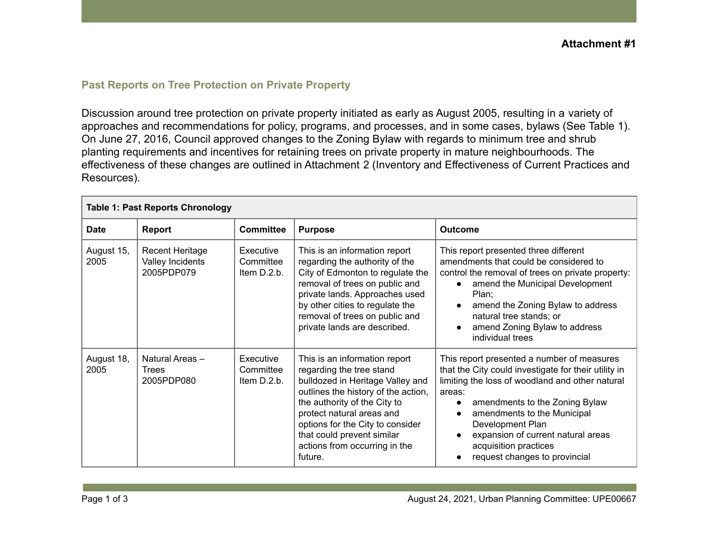## **Past Reports on Tree Protection on Private Property**

Discussion around tree protection on private property initiated as early as August 2005, resulting in a variety of approaches and recommendations for policy, programs, and processes, and in some cases, bylaws (See Table 1). On June 27, 2016, Council approved changes to the Zoning Bylaw with regards to minimum tree and shrub planting requirements and incentives for retaining trees on private property in mature neighbourhoods. The effectiveness of these changes are outlined in Attachment 2 (Inventory and Effectiveness of Current Practices and Resources).

| <b>Table 1: Past Reports Chronology</b> |                                                          |                                       |                                                                                                                                                                                                                                                                                                                 |                                                                                                                                                                                                                                                                                                                                                                                                          |  |  |  |
|-----------------------------------------|----------------------------------------------------------|---------------------------------------|-----------------------------------------------------------------------------------------------------------------------------------------------------------------------------------------------------------------------------------------------------------------------------------------------------------------|----------------------------------------------------------------------------------------------------------------------------------------------------------------------------------------------------------------------------------------------------------------------------------------------------------------------------------------------------------------------------------------------------------|--|--|--|
| Date                                    | Report                                                   | <b>Committee</b>                      | <b>Purpose</b>                                                                                                                                                                                                                                                                                                  | <b>Outcome</b>                                                                                                                                                                                                                                                                                                                                                                                           |  |  |  |
| August 15,<br>2005                      | <b>Recent Heritage</b><br>Valley Incidents<br>2005PDP079 | Executive<br>Committee<br>Item D.2.b. | This is an information report<br>regarding the authority of the<br>City of Edmonton to regulate the<br>removal of trees on public and<br>private lands. Approaches used<br>by other cities to regulate the<br>removal of trees on public and<br>private lands are described.                                    | This report presented three different<br>amendments that could be considered to<br>control the removal of trees on private property:<br>amend the Municipal Development<br>$\bullet$<br>Plan;<br>amend the Zoning Bylaw to address<br>$\bullet$<br>natural tree stands; or<br>amend Zoning Bylaw to address<br>individual trees                                                                          |  |  |  |
| August 18,<br>2005                      | Natural Areas-<br>Trees<br>2005PDP080                    | Executive<br>Committee<br>Item D.2.b. | This is an information report<br>regarding the tree stand<br>bulldozed in Heritage Valley and<br>outlines the history of the action,<br>the authority of the City to<br>protect natural areas and<br>options for the City to consider<br>that could prevent similar<br>actions from occurring in the<br>future. | This report presented a number of measures<br>that the City could investigate for their utility in<br>limiting the loss of woodland and other natural<br>areas:<br>amendments to the Zoning Bylaw<br>$\bullet$<br>amendments to the Municipal<br>$\bullet$<br>Development Plan<br>expansion of current natural areas<br>$\bullet$<br>acquisition practices<br>request changes to provincial<br>$\bullet$ |  |  |  |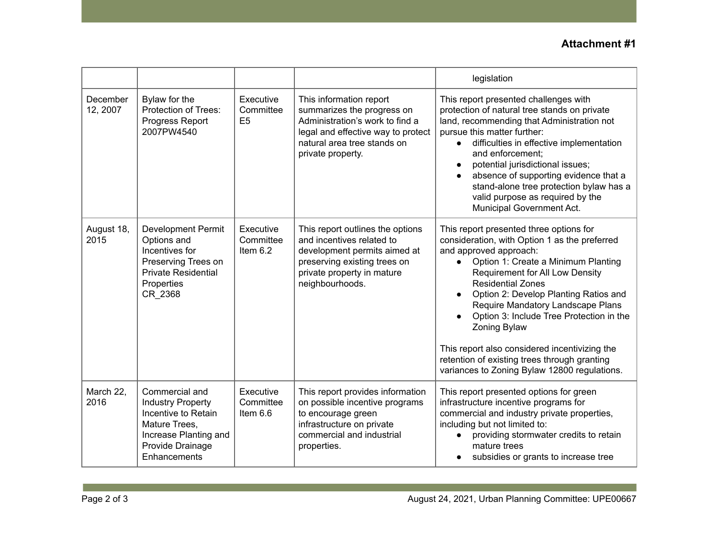## **Attachment #1**

|                      |                                                                                                                                                 |                                          |                                                                                                                                                                                    | legislation                                                                                                                                                                                                                                                                                                                                                                                                                                                                                                                      |
|----------------------|-------------------------------------------------------------------------------------------------------------------------------------------------|------------------------------------------|------------------------------------------------------------------------------------------------------------------------------------------------------------------------------------|----------------------------------------------------------------------------------------------------------------------------------------------------------------------------------------------------------------------------------------------------------------------------------------------------------------------------------------------------------------------------------------------------------------------------------------------------------------------------------------------------------------------------------|
| December<br>12, 2007 | Bylaw for the<br><b>Protection of Trees:</b><br>Progress Report<br>2007PW4540                                                                   | Executive<br>Committee<br>E <sub>5</sub> | This information report<br>summarizes the progress on<br>Administration's work to find a<br>legal and effective way to protect<br>natural area tree stands on<br>private property. | This report presented challenges with<br>protection of natural tree stands on private<br>land, recommending that Administration not<br>pursue this matter further:<br>difficulties in effective implementation<br>$\bullet$<br>and enforcement:<br>potential jurisdictional issues;<br>$\bullet$<br>absence of supporting evidence that a<br>$\bullet$<br>stand-alone tree protection bylaw has a<br>valid purpose as required by the<br>Municipal Government Act.                                                               |
| August 18,<br>2015   | <b>Development Permit</b><br>Options and<br>Incentives for<br>Preserving Trees on<br><b>Private Residential</b><br>Properties<br>CR 2368        | Executive<br>Committee<br>Item $6.2$     | This report outlines the options<br>and incentives related to<br>development permits aimed at<br>preserving existing trees on<br>private property in mature<br>neighbourhoods.     | This report presented three options for<br>consideration, with Option 1 as the preferred<br>and approved approach:<br>Option 1: Create a Minimum Planting<br>$\bullet$<br>Requirement for All Low Density<br><b>Residential Zones</b><br>Option 2: Develop Planting Ratios and<br>Require Mandatory Landscape Plans<br>Option 3: Include Tree Protection in the<br>Zoning Bylaw<br>This report also considered incentivizing the<br>retention of existing trees through granting<br>variances to Zoning Bylaw 12800 regulations. |
| March 22,<br>2016    | Commercial and<br><b>Industry Property</b><br>Incentive to Retain<br>Mature Trees,<br>Increase Planting and<br>Provide Drainage<br>Enhancements | Executive<br>Committee<br>Item $6.6$     | This report provides information<br>on possible incentive programs<br>to encourage green<br>infrastructure on private<br>commercial and industrial<br>properties.                  | This report presented options for green<br>infrastructure incentive programs for<br>commercial and industry private properties,<br>including but not limited to:<br>providing stormwater credits to retain<br>$\bullet$<br>mature trees<br>subsidies or grants to increase tree                                                                                                                                                                                                                                                  |